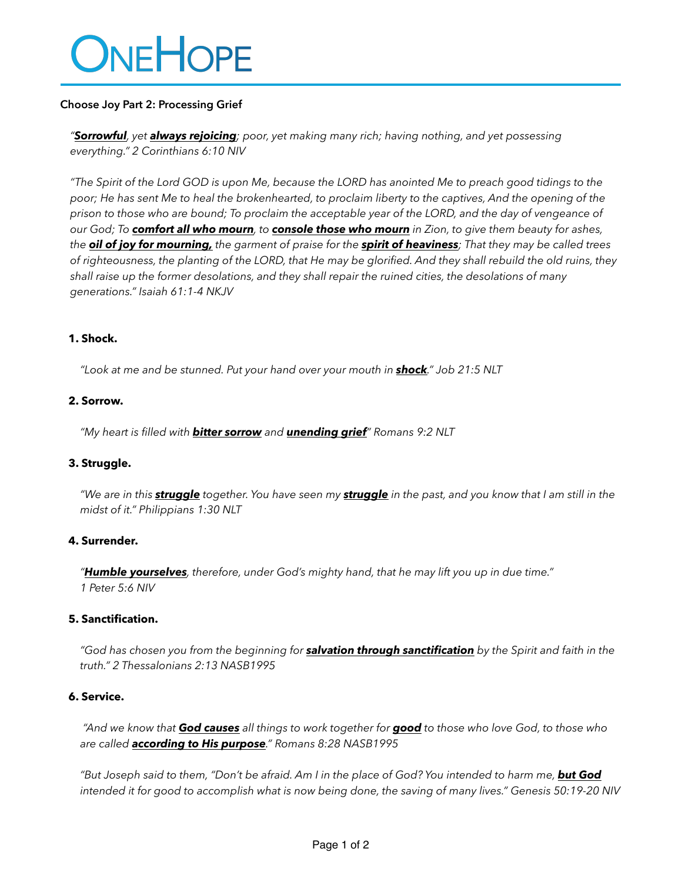# ONEHOPE

# **Choose Joy Part 2: Processing Grief**

*"Sorrowful, yet always rejoicing; poor, yet making many rich; having nothing, and yet possessing everything." 2 Corinthians 6:10 NIV*

*"The Spirit of the Lord GOD is upon Me, because the LORD has anointed Me to preach good tidings to the poor; He has sent Me to heal the brokenhearted, to proclaim liberty to the captives, And the opening of the prison to those who are bound; To proclaim the acceptable year of the LORD, and the day of vengeance of our God; To comfort all who mourn, to console those who mourn in Zion, to give them beauty for ashes, the oil of joy for mourning, the garment of praise for the spirit of heaviness; That they may be called trees of righteousness, the planting of the LORD, that He may be glorified. And they shall rebuild the old ruins, they shall raise up the former desolations, and they shall repair the ruined cities, the desolations of many generations." Isaiah 61:1-4 NKJV*

## **1. Shock.**

*"Look at me and be stunned. Put your hand over your mouth in shock." Job 21:5 NLT*

## **2. Sorrow.**

*"My heart is filled with bitter sorrow and unending grief" Romans 9:2 NLT*

# **3. Struggle.**

*"We are in this struggle together. You have seen my struggle in the past, and you know that I am still in the midst of it." Philippians 1:30 NLT*

# **4. Surrender.**

*"Humble yourselves, therefore, under God's mighty hand, that he may lift you up in due time." 1 Peter 5:6 NIV*

#### **5. Sanctification.**

*"God has chosen you from the beginning for salvation through sanctification by the Spirit and faith in the truth." 2 Thessalonians 2:13 NASB1995*

#### **6. Service.**

 *"And we know that God causes all things to work together for good to those who love God, to those who are called according to His purpose." Romans 8:28 NASB1995*

*"But Joseph said to them, "Don't be afraid. Am I in the place of God? You intended to harm me, but God intended it for good to accomplish what is now being done, the saving of many lives." Genesis 50:19-20 NIV*